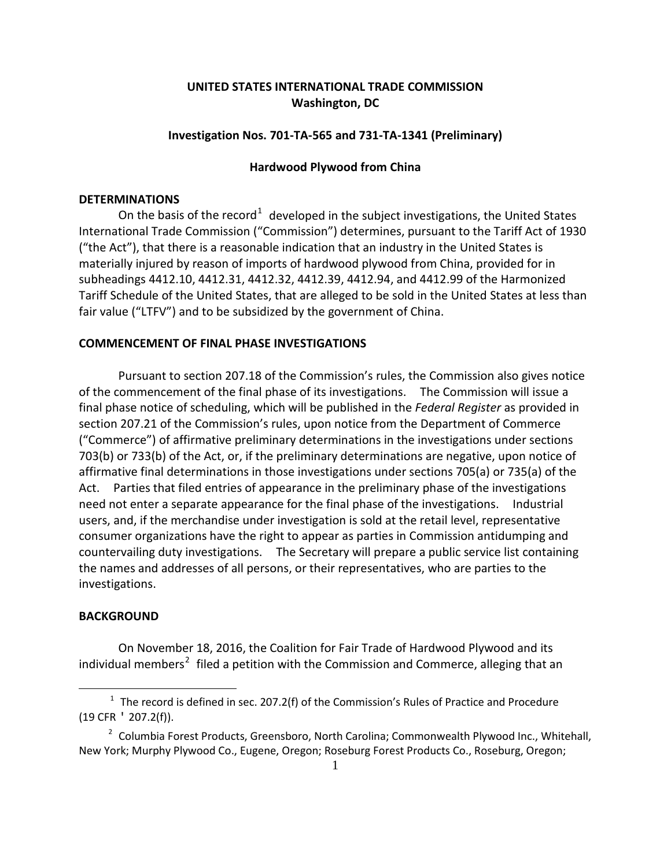# **UNITED STATES INTERNATIONAL TRADE COMMISSION Washington, DC**

## **Investigation Nos. 701-TA-565 and 731-TA-1341 (Preliminary)**

#### **Hardwood Plywood from China**

#### **DETERMINATIONS**

On the basis of the record<sup>[1](#page-0-0)</sup> developed in the subject investigations, the United States International Trade Commission ("Commission") determines, pursuant to the Tariff Act of 1930 ("the Act"), that there is a reasonable indication that an industry in the United States is materially injured by reason of imports of hardwood plywood from China, provided for in subheadings 4412.10, 4412.31, 4412.32, 4412.39, 4412.94, and 4412.99 of the Harmonized Tariff Schedule of the United States, that are alleged to be sold in the United States at less than fair value ("LTFV") and to be subsidized by the government of China.

# **COMMENCEMENT OF FINAL PHASE INVESTIGATIONS**

Pursuant to section 207.18 of the Commission's rules, the Commission also gives notice of the commencement of the final phase of its investigations. The Commission will issue a final phase notice of scheduling, which will be published in the *Federal Register* as provided in section 207.21 of the Commission's rules, upon notice from the Department of Commerce ("Commerce") of affirmative preliminary determinations in the investigations under sections 703(b) or 733(b) of the Act, or, if the preliminary determinations are negative, upon notice of affirmative final determinations in those investigations under sections 705(a) or 735(a) of the Act. Parties that filed entries of appearance in the preliminary phase of the investigations need not enter a separate appearance for the final phase of the investigations. Industrial users, and, if the merchandise under investigation is sold at the retail level, representative consumer organizations have the right to appear as parties in Commission antidumping and countervailing duty investigations. The Secretary will prepare a public service list containing the names and addresses of all persons, or their representatives, who are parties to the investigations.

## **BACKGROUND**

 $\overline{a}$ 

On November 18, 2016, the Coalition for Fair Trade of Hardwood Plywood and its individual members<sup>[2](#page-0-1)</sup> filed a petition with the Commission and Commerce, alleging that an

<span id="page-0-0"></span> $1$  The record is defined in sec. 207.2(f) of the Commission's Rules of Practice and Procedure (19 CFR ' 207.2(f)).

<span id="page-0-1"></span><sup>&</sup>lt;sup>2</sup> Columbia Forest Products, Greensboro, North Carolina; Commonwealth Plywood Inc., Whitehall, New York; Murphy Plywood Co., Eugene, Oregon; Roseburg Forest Products Co., Roseburg, Oregon;